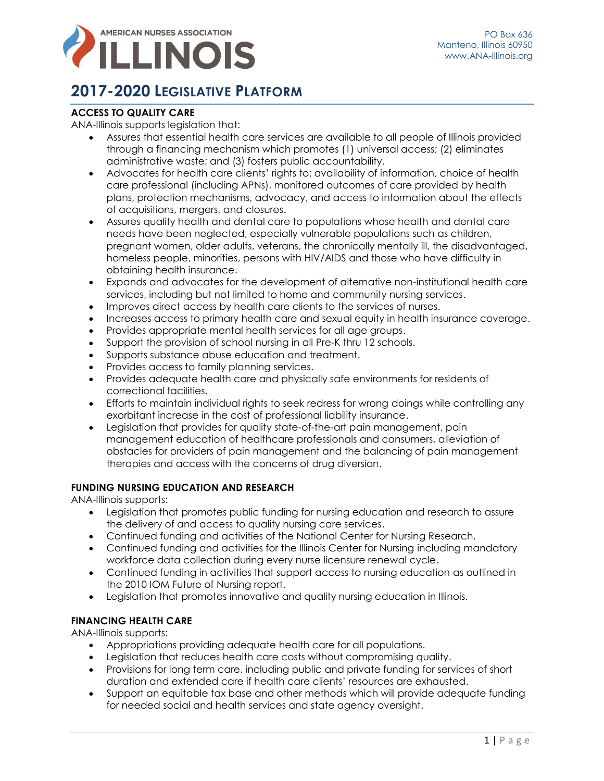

# **2017-2020 LEGISLATIVE PLATFORM**

## **ACCESS TO QUALITY CARE**

#### ANA-Illinois supports legislation that:

- Assures that essential health care services are available to all people of Illinois provided through a financing mechanism which promotes (1) universal access; (2) eliminates administrative waste; and (3) fosters public accountability.
- Advocates for health care clients' rights to: availability of information, choice of health care professional (including APNs), monitored outcomes of care provided by health plans, protection mechanisms, advocacy, and access to information about the effects of acquisitions, mergers, and closures.
- Assures quality health and dental care to populations whose health and dental care needs have been neglected, especially vulnerable populations such as children, pregnant women, older adults, veterans, the chronically mentally ill, the disadvantaged, homeless people, minorities, persons with HIV/AIDS and those who have difficulty in obtaining health insurance.
- Expands and advocates for the development of alternative non-institutional health care services, including but not limited to home and community nursing services.
- Improves direct access by health care clients to the services of nurses.
- Increases access to primary health care and sexual equity in health insurance coverage.
- Provides appropriate mental health services for all age groups.
- Support the provision of school nursing in all Pre-K thru 12 schools.
- Supports substance abuse education and treatment.
- Provides access to family planning services.
- Provides adequate health care and physically safe environments for residents of correctional facilities.
- Efforts to maintain individual rights to seek redress for wrong doings while controlling any exorbitant increase in the cost of professional liability insurance.
- Legislation that provides for quality state-of-the-art pain management, pain management education of healthcare professionals and consumers, alleviation of obstacles for providers of pain management and the balancing of pain management therapies and access with the concerns of drug diversion.

#### **FUNDING NURSING EDUCATION AND RESEARCH**

ANA-Illinois supports:

- Legislation that promotes public funding for nursing education and research to assure the delivery of and access to quality nursing care services.
- Continued funding and activities of the National Center for Nursing Research.
- Continued funding and activities for the Illinois Center for Nursing including mandatory workforce data collection during every nurse licensure renewal cycle.
- Continued funding in activities that support access to nursing education as outlined in the 2010 IOM Future of Nursing report.
- Legislation that promotes innovative and quality nursing education in Illinois.

## **FINANCING HEALTH CARE**

ANA-Illinois supports:

- Appropriations providing adequate health care for all populations.
- Legislation that reduces health care costs without compromising quality.
- Provisions for long term care, including public and private funding for services of short duration and extended care if health care clients' resources are exhausted.
- Support an equitable tax base and other methods which will provide adequate funding for needed social and health services and state agency oversight.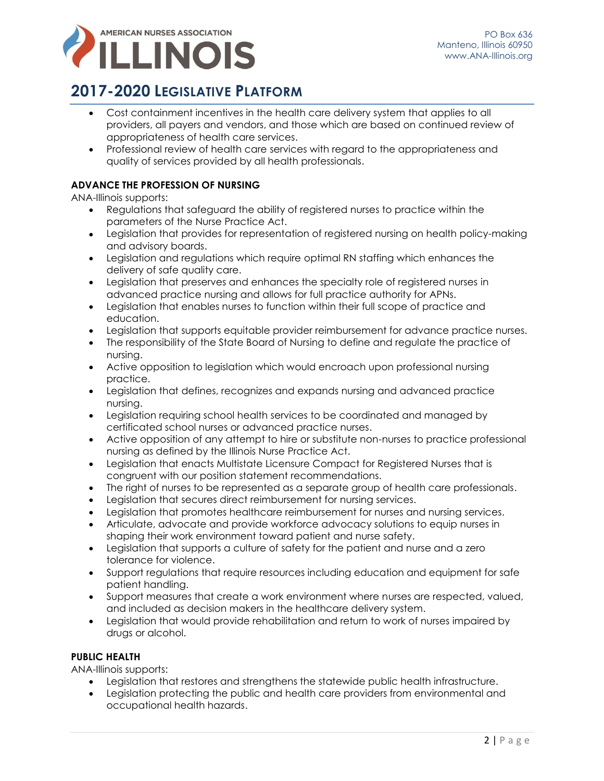

## **2017-2020 LEGISLATIVE PLATFORM**

- Cost containment incentives in the health care delivery system that applies to all providers, all payers and vendors, and those which are based on continued review of appropriateness of health care services.
- Professional review of health care services with regard to the appropriateness and quality of services provided by all health professionals.

## **ADVANCE THE PROFESSION OF NURSING**

ANA-Illinois supports:

- Regulations that safeguard the ability of registered nurses to practice within the parameters of the Nurse Practice Act.
- Legislation that provides for representation of registered nursing on health policy-making and advisory boards.
- Legislation and regulations which require optimal RN staffing which enhances the delivery of safe quality care.
- Legislation that preserves and enhances the specialty role of registered nurses in advanced practice nursing and allows for full practice authority for APNs.
- Legislation that enables nurses to function within their full scope of practice and education.
- Legislation that supports equitable provider reimbursement for advance practice nurses.
- The responsibility of the State Board of Nursing to define and regulate the practice of nursing.
- Active opposition to legislation which would encroach upon professional nursing practice.
- Legislation that defines, recognizes and expands nursing and advanced practice nursing.
- Legislation requiring school health services to be coordinated and managed by certificated school nurses or advanced practice nurses.
- Active opposition of any attempt to hire or substitute non-nurses to practice professional nursing as defined by the Illinois Nurse Practice Act.
- Legislation that enacts Multistate Licensure Compact for Registered Nurses that is congruent with our position statement recommendations.
- The right of nurses to be represented as a separate group of health care professionals.
- Legislation that secures direct reimbursement for nursing services.
- Legislation that promotes healthcare reimbursement for nurses and nursing services.
- Articulate, advocate and provide workforce advocacy solutions to equip nurses in shaping their work environment toward patient and nurse safety.
- Legislation that supports a culture of safety for the patient and nurse and a zero tolerance for violence.
- Support regulations that require resources including education and equipment for safe patient handling.
- Support measures that create a work environment where nurses are respected, valued, and included as decision makers in the healthcare delivery system.
- Legislation that would provide rehabilitation and return to work of nurses impaired by drugs or alcohol.

## **PUBLIC HEALTH**

ANA-Illinois supports:

- Legislation that restores and strengthens the statewide public health infrastructure.
- Legislation protecting the public and health care providers from environmental and occupational health hazards.